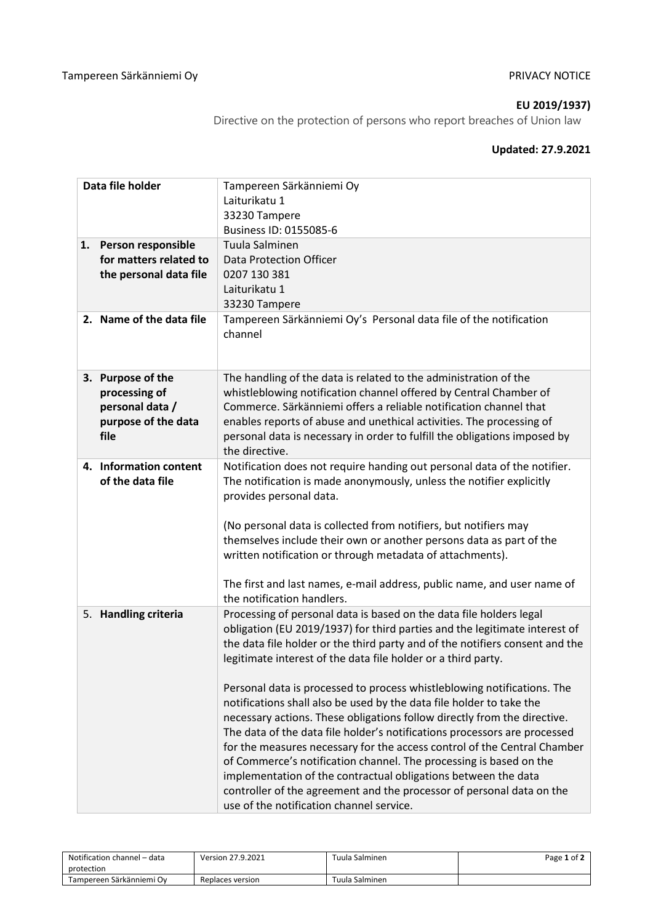### **EU 2019/1937)**

Directive on the protection of persons who report breaches of Union law

## **Updated: 27.9.2021**

| Data file holder                                                                     | Tampereen Särkänniemi Oy<br>Laiturikatu 1<br>33230 Tampere<br>Business ID: 0155085-6                                                                                                                                                                                                                                                                                                                                                                                                                                                                                                                                                                                                                                                                                                                                                                                                                                                                    |  |  |
|--------------------------------------------------------------------------------------|---------------------------------------------------------------------------------------------------------------------------------------------------------------------------------------------------------------------------------------------------------------------------------------------------------------------------------------------------------------------------------------------------------------------------------------------------------------------------------------------------------------------------------------------------------------------------------------------------------------------------------------------------------------------------------------------------------------------------------------------------------------------------------------------------------------------------------------------------------------------------------------------------------------------------------------------------------|--|--|
| 1. Person responsible<br>for matters related to<br>the personal data file            | Tuula Salminen<br><b>Data Protection Officer</b><br>0207 130 381<br>Laiturikatu 1<br>33230 Tampere                                                                                                                                                                                                                                                                                                                                                                                                                                                                                                                                                                                                                                                                                                                                                                                                                                                      |  |  |
| 2. Name of the data file                                                             | Tampereen Särkänniemi Oy's Personal data file of the notification<br>channel                                                                                                                                                                                                                                                                                                                                                                                                                                                                                                                                                                                                                                                                                                                                                                                                                                                                            |  |  |
| 3. Purpose of the<br>processing of<br>personal data /<br>purpose of the data<br>file | The handling of the data is related to the administration of the<br>whistleblowing notification channel offered by Central Chamber of<br>Commerce. Särkänniemi offers a reliable notification channel that<br>enables reports of abuse and unethical activities. The processing of<br>personal data is necessary in order to fulfill the obligations imposed by<br>the directive.                                                                                                                                                                                                                                                                                                                                                                                                                                                                                                                                                                       |  |  |
| 4. Information content<br>of the data file                                           | Notification does not require handing out personal data of the notifier.<br>The notification is made anonymously, unless the notifier explicitly<br>provides personal data.<br>(No personal data is collected from notifiers, but notifiers may<br>themselves include their own or another persons data as part of the<br>written notification or through metadata of attachments).<br>The first and last names, e-mail address, public name, and user name of<br>the notification handlers.                                                                                                                                                                                                                                                                                                                                                                                                                                                            |  |  |
| 5. Handling criteria                                                                 | Processing of personal data is based on the data file holders legal<br>obligation (EU 2019/1937) for third parties and the legitimate interest of<br>the data file holder or the third party and of the notifiers consent and the<br>legitimate interest of the data file holder or a third party.<br>Personal data is processed to process whistleblowing notifications. The<br>notifications shall also be used by the data file holder to take the<br>necessary actions. These obligations follow directly from the directive.<br>The data of the data file holder's notifications processors are processed<br>for the measures necessary for the access control of the Central Chamber<br>of Commerce's notification channel. The processing is based on the<br>implementation of the contractual obligations between the data<br>controller of the agreement and the processor of personal data on the<br>use of the notification channel service. |  |  |

| Notification channel – data | Version 27.9.2021 | Tuula Salminen | Page 1 of 2 |
|-----------------------------|-------------------|----------------|-------------|
| protection                  |                   |                |             |
| Tampereen Särkänniemi Ov    | Replaces version  | Tuula Salminen |             |